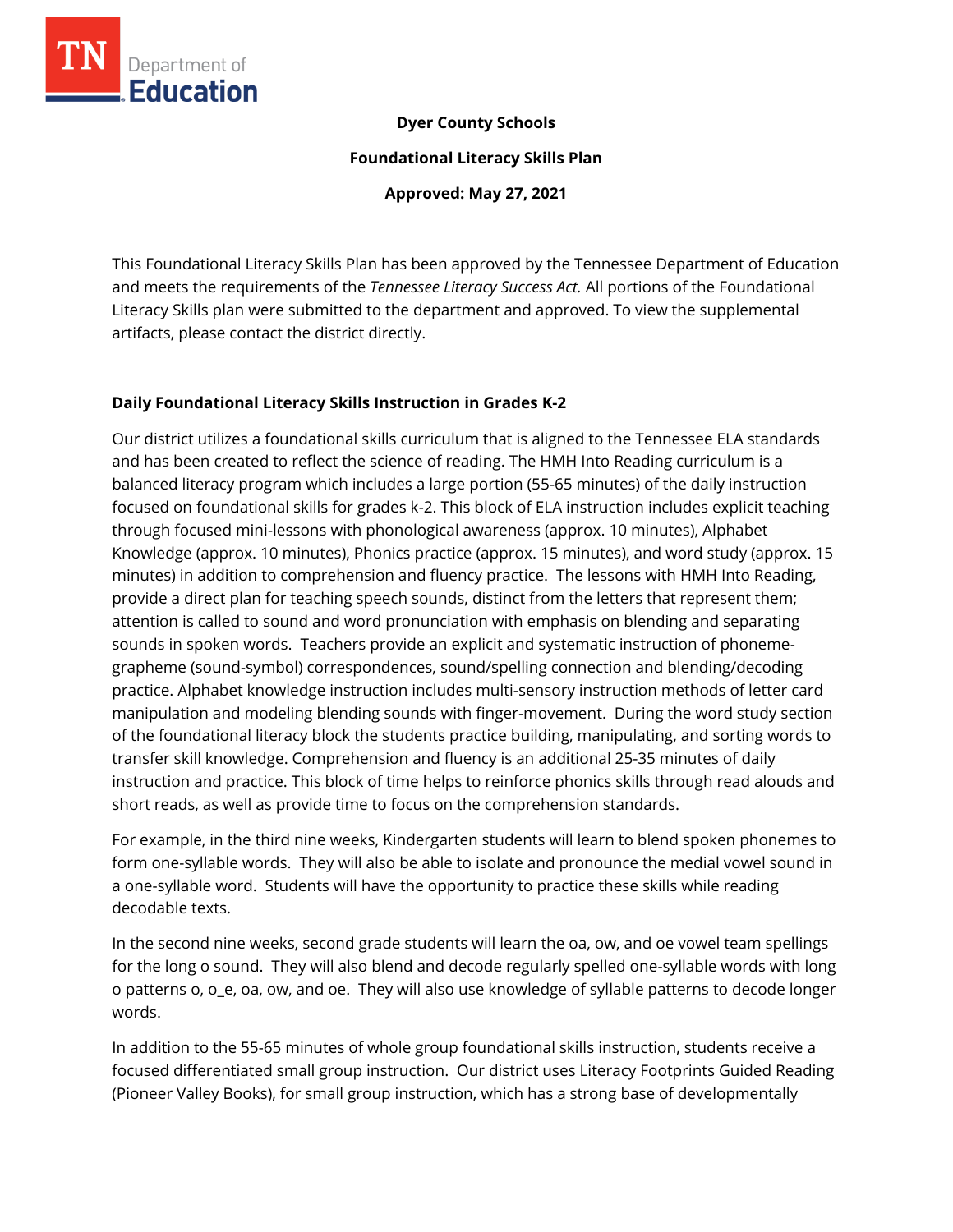

#### **Dyer County Schools**

**Foundational Literacy Skills Plan**

**Approved: May 27, 2021**

This Foundational Literacy Skills Plan has been approved by the Tennessee Department of Education and meets the requirements of the *Tennessee Literacy Success Act.* All portions of the Foundational Literacy Skills plan were submitted to the department and approved. To view the supplemental artifacts, please contact the district directly.

### **Daily Foundational Literacy Skills Instruction in Grades K-2**

Our district utilizes a foundational skills curriculum that is aligned to the Tennessee ELA standards and has been created to reflect the science of reading. The HMH Into Reading curriculum is a balanced literacy program which includes a large portion (55-65 minutes) of the daily instruction focused on foundational skills for grades k-2. This block of ELA instruction includes explicit teaching through focused mini-lessons with phonological awareness (approx. 10 minutes), Alphabet Knowledge (approx. 10 minutes), Phonics practice (approx. 15 minutes), and word study (approx. 15 minutes) in addition to comprehension and fluency practice. The lessons with HMH Into Reading, provide a direct plan for teaching speech sounds, distinct from the letters that represent them; attention is called to sound and word pronunciation with emphasis on blending and separating sounds in spoken words. Teachers provide an explicit and systematic instruction of phonemegrapheme (sound-symbol) correspondences, sound/spelling connection and blending/decoding practice. Alphabet knowledge instruction includes multi-sensory instruction methods of letter card manipulation and modeling blending sounds with finger-movement. During the word study section of the foundational literacy block the students practice building, manipulating, and sorting words to transfer skill knowledge. Comprehension and fluency is an additional 25-35 minutes of daily instruction and practice. This block of time helps to reinforce phonics skills through read alouds and short reads, as well as provide time to focus on the comprehension standards.

For example, in the third nine weeks, Kindergarten students will learn to blend spoken phonemes to form one-syllable words. They will also be able to isolate and pronounce the medial vowel sound in a one-syllable word. Students will have the opportunity to practice these skills while reading decodable texts.

In the second nine weeks, second grade students will learn the oa, ow, and oe vowel team spellings for the long o sound. They will also blend and decode regularly spelled one-syllable words with long o patterns o, o\_e, oa, ow, and oe. They will also use knowledge of syllable patterns to decode longer words.

In addition to the 55-65 minutes of whole group foundational skills instruction, students receive a focused differentiated small group instruction. Our district uses Literacy Footprints Guided Reading (Pioneer Valley Books), for small group instruction, which has a strong base of developmentally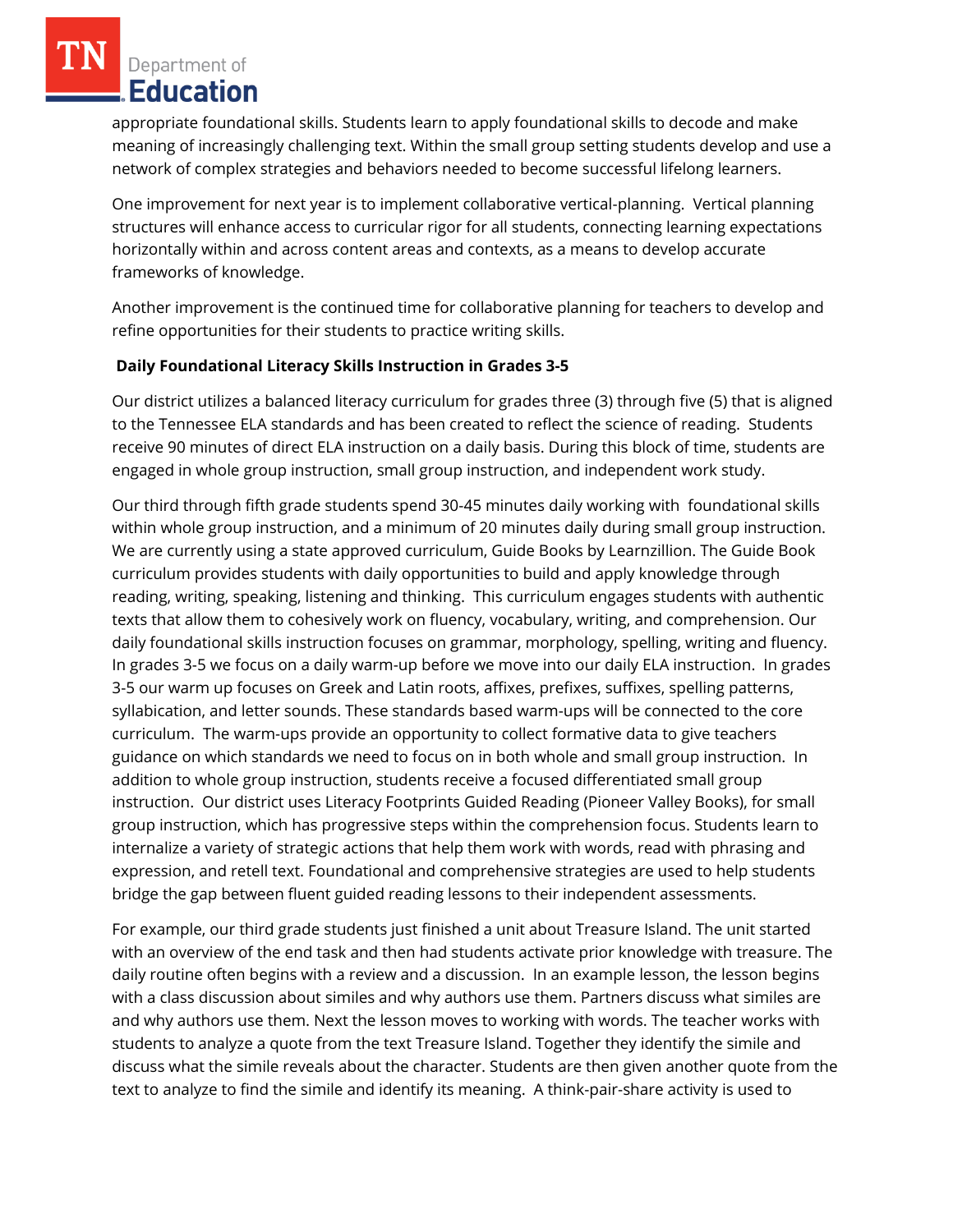appropriate foundational skills. Students learn to apply foundational skills to decode and make meaning of increasingly challenging text. Within the small group setting students develop and use a network of complex strategies and behaviors needed to become successful lifelong learners.

One improvement for next year is to implement collaborative vertical-planning. Vertical planning structures will enhance access to curricular rigor for all students, connecting learning expectations horizontally within and across content areas and contexts, as a means to develop accurate frameworks of knowledge.

Another improvement is the continued time for collaborative planning for teachers to develop and refine opportunities for their students to practice writing skills.

## **Daily Foundational Literacy Skills Instruction in Grades 3-5**

Our district utilizes a balanced literacy curriculum for grades three (3) through five (5) that is aligned to the Tennessee ELA standards and has been created to reflect the science of reading. Students receive 90 minutes of direct ELA instruction on a daily basis. During this block of time, students are engaged in whole group instruction, small group instruction, and independent work study.

Our third through fifth grade students spend 30-45 minutes daily working with foundational skills within whole group instruction, and a minimum of 20 minutes daily during small group instruction. We are currently using a state approved curriculum, Guide Books by Learnzillion. The Guide Book curriculum provides students with daily opportunities to build and apply knowledge through reading, writing, speaking, listening and thinking. This curriculum engages students with authentic texts that allow them to cohesively work on fluency, vocabulary, writing, and comprehension. Our daily foundational skills instruction focuses on grammar, morphology, spelling, writing and fluency. In grades 3-5 we focus on a daily warm-up before we move into our daily ELA instruction. In grades 3-5 our warm up focuses on Greek and Latin roots, affixes, prefixes, suffixes, spelling patterns, syllabication, and letter sounds. These standards based warm-ups will be connected to the core curriculum. The warm-ups provide an opportunity to collect formative data to give teachers guidance on which standards we need to focus on in both whole and small group instruction. In addition to whole group instruction, students receive a focused differentiated small group instruction. Our district uses Literacy Footprints Guided Reading (Pioneer Valley Books), for small group instruction, which has progressive steps within the comprehension focus. Students learn to internalize a variety of strategic actions that help them work with words, read with phrasing and expression, and retell text. Foundational and comprehensive strategies are used to help students bridge the gap between fluent guided reading lessons to their independent assessments.

For example, our third grade students just finished a unit about Treasure Island. The unit started with an overview of the end task and then had students activate prior knowledge with treasure. The daily routine often begins with a review and a discussion. In an example lesson, the lesson begins with a class discussion about similes and why authors use them. Partners discuss what similes are and why authors use them. Next the lesson moves to working with words. The teacher works with students to analyze a quote from the text Treasure Island. Together they identify the simile and discuss what the simile reveals about the character. Students are then given another quote from the text to analyze to find the simile and identify its meaning. A think-pair-share activity is used to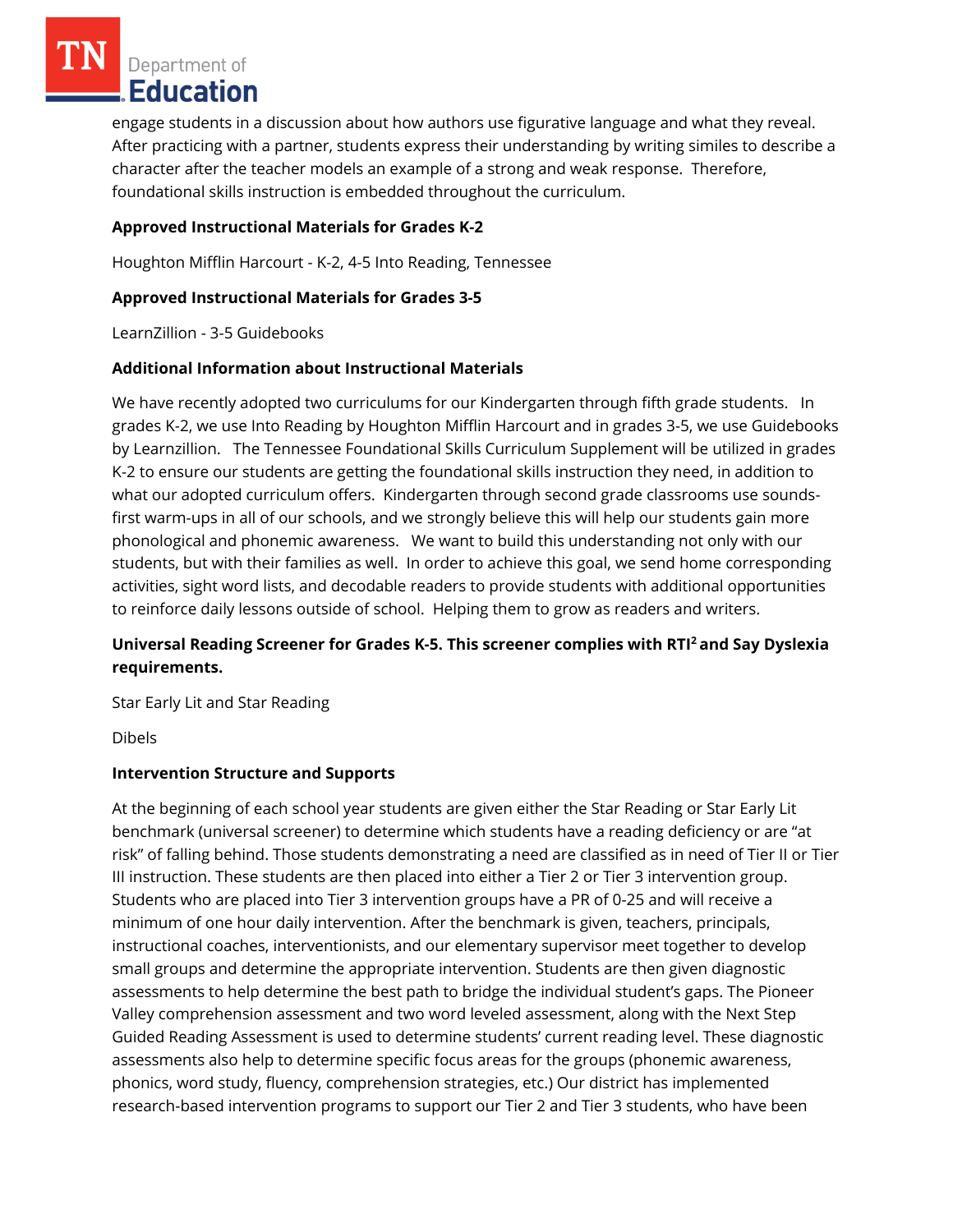engage students in a discussion about how authors use figurative language and what they reveal. After practicing with a partner, students express their understanding by writing similes to describe a character after the teacher models an example of a strong and weak response. Therefore, foundational skills instruction is embedded throughout the curriculum.

# **Approved Instructional Materials for Grades K-2**

Houghton Mifflin Harcourt - K-2, 4-5 Into Reading, Tennessee

## **Approved Instructional Materials for Grades 3-5**

LearnZillion - 3-5 Guidebooks

## **Additional Information about Instructional Materials**

We have recently adopted two curriculums for our Kindergarten through fifth grade students. In grades K-2, we use Into Reading by Houghton Mifflin Harcourt and in grades 3-5, we use Guidebooks by Learnzillion. The Tennessee Foundational Skills Curriculum Supplement will be utilized in grades K-2 to ensure our students are getting the foundational skills instruction they need, in addition to what our adopted curriculum offers. Kindergarten through second grade classrooms use soundsfirst warm-ups in all of our schools, and we strongly believe this will help our students gain more phonological and phonemic awareness. We want to build this understanding not only with our students, but with their families as well. In order to achieve this goal, we send home corresponding activities, sight word lists, and decodable readers to provide students with additional opportunities to reinforce daily lessons outside of school. Helping them to grow as readers and writers.

## **Universal Reading Screener for Grades K-5. This screener complies with RTI<sup>2</sup>and Say Dyslexia requirements.**

Star Early Lit and Star Reading

Dibels

### **Intervention Structure and Supports**

At the beginning of each school year students are given either the Star Reading or Star Early Lit benchmark (universal screener) to determine which students have a reading deficiency or are "at risk" of falling behind. Those students demonstrating a need are classified as in need of Tier II or Tier III instruction. These students are then placed into either a Tier 2 or Tier 3 intervention group. Students who are placed into Tier 3 intervention groups have a PR of 0-25 and will receive a minimum of one hour daily intervention. After the benchmark is given, teachers, principals, instructional coaches, interventionists, and our elementary supervisor meet together to develop small groups and determine the appropriate intervention. Students are then given diagnostic assessments to help determine the best path to bridge the individual student's gaps. The Pioneer Valley comprehension assessment and two word leveled assessment, along with the Next Step Guided Reading Assessment is used to determine students' current reading level. These diagnostic assessments also help to determine specific focus areas for the groups (phonemic awareness, phonics, word study, fluency, comprehension strategies, etc.) Our district has implemented research-based intervention programs to support our Tier 2 and Tier 3 students, who have been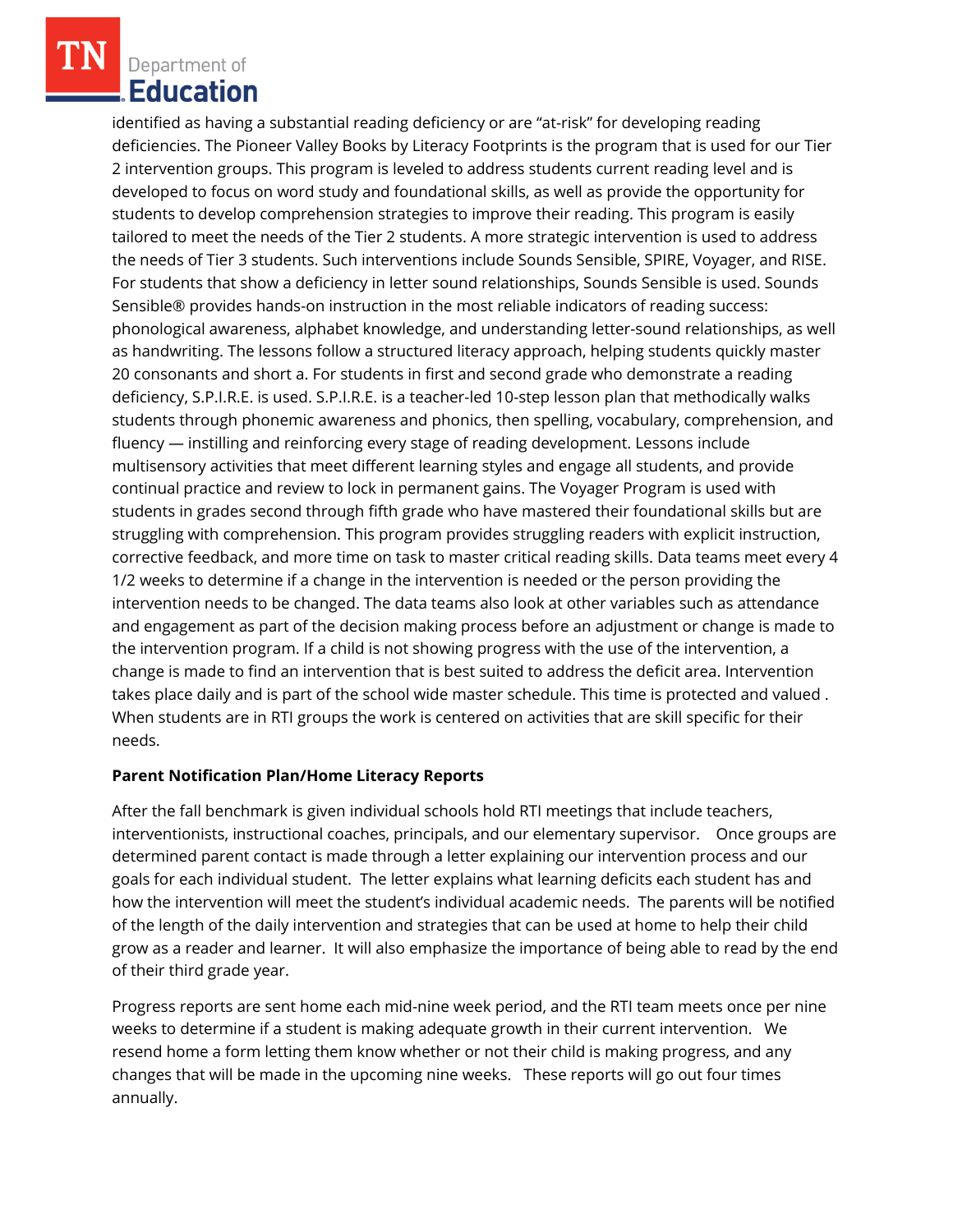identified as having a substantial reading deficiency or are "at-risk" for developing reading deficiencies. The Pioneer Valley Books by Literacy Footprints is the program that is used for our Tier 2 intervention groups. This program is leveled to address students current reading level and is developed to focus on word study and foundational skills, as well as provide the opportunity for students to develop comprehension strategies to improve their reading. This program is easily tailored to meet the needs of the Tier 2 students. A more strategic intervention is used to address the needs of Tier 3 students. Such interventions include Sounds Sensible, SPIRE, Voyager, and RISE. For students that show a deficiency in letter sound relationships, Sounds Sensible is used. Sounds Sensible® provides hands-on instruction in the most reliable indicators of reading success: phonological awareness, alphabet knowledge, and understanding letter-sound relationships, as well as handwriting. The lessons follow a structured literacy approach, helping students quickly master 20 consonants and short a. For students in first and second grade who demonstrate a reading deficiency, S.P.I.R.E. is used. S.P.I.R.E. is a teacher-led 10-step lesson plan that methodically walks students through phonemic awareness and phonics, then spelling, vocabulary, comprehension, and fluency — instilling and reinforcing every stage of reading development. Lessons include multisensory activities that meet different learning styles and engage all students, and provide continual practice and review to lock in permanent gains. The Voyager Program is used with students in grades second through fifth grade who have mastered their foundational skills but are struggling with comprehension. This program provides struggling readers with explicit instruction, corrective feedback, and more time on task to master critical reading skills. Data teams meet every 4 1/2 weeks to determine if a change in the intervention is needed or the person providing the intervention needs to be changed. The data teams also look at other variables such as attendance and engagement as part of the decision making process before an adjustment or change is made to the intervention program. If a child is not showing progress with the use of the intervention, a change is made to find an intervention that is best suited to address the deficit area. Intervention takes place daily and is part of the school wide master schedule. This time is protected and valued . When students are in RTI groups the work is centered on activities that are skill specific for their needs.

### **Parent Notification Plan/Home Literacy Reports**

After the fall benchmark is given individual schools hold RTI meetings that include teachers, interventionists, instructional coaches, principals, and our elementary supervisor. Once groups are determined parent contact is made through a letter explaining our intervention process and our goals for each individual student. The letter explains what learning deficits each student has and how the intervention will meet the student's individual academic needs. The parents will be notified of the length of the daily intervention and strategies that can be used at home to help their child grow as a reader and learner. It will also emphasize the importance of being able to read by the end of their third grade year.

Progress reports are sent home each mid-nine week period, and the RTI team meets once per nine weeks to determine if a student is making adequate growth in their current intervention. We resend home a form letting them know whether or not their child is making progress, and any changes that will be made in the upcoming nine weeks. These reports will go out four times annually.